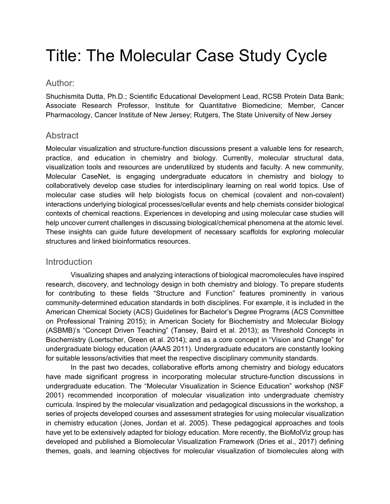# Title: The Molecular Case Study Cycle

## Author:

Shuchismita Dutta, Ph.D.; Scientific Educational Development Lead, RCSB Protein Data Bank; Associate Research Professor, Institute for Quantitative Biomedicine; Member, Cancer Pharmacology, Cancer Institute of New Jersey; Rutgers, The State University of New Jersey

## Abstract

Molecular visualization and structure-function discussions present a valuable lens for research, practice, and education in chemistry and biology. Currently, molecular structural data, visualization tools and resources are underutilized by students and faculty. A new community, Molecular CaseNet, is engaging undergraduate educators in chemistry and biology to collaboratively develop case studies for interdisciplinary learning on real world topics. Use of molecular case studies will help biologists focus on chemical (covalent and non-covalent) interactions underlying biological processes/cellular events and help chemists consider biological contexts of chemical reactions. Experiences in developing and using molecular case studies will help uncover current challenges in discussing biological/chemical phenomena at the atomic level. These insights can guide future development of necessary scaffolds for exploring molecular structures and linked bioinformatics resources.

## **Introduction**

Visualizing shapes and analyzing interactions of biological macromolecules have inspired research, discovery, and technology design in both chemistry and biology. To prepare students for contributing to these fields "Structure and Function" features prominently in various community-determined education standards in both disciplines. For example, it is included in the American Chemical Society (ACS) Guidelines for Bachelor's Degree Programs (ACS Committee on Professional Training 2015); in American Society for Biochemistry and Molecular Biology (ASBMB)'s "Concept Driven Teaching" (Tansey, Baird et al. 2013); as Threshold Concepts in Biochemistry (Loertscher, Green et al. 2014); and as a core concept in "Vision and Change" for undergraduate biology education (AAAS 2011). Undergraduate educators are constantly looking for suitable lessons/activities that meet the respective disciplinary community standards.

In the past two decades, collaborative efforts among chemistry and biology educators have made significant progress in incorporating molecular structure-function discussions in undergraduate education. The "Molecular Visualization in Science Education" workshop (NSF 2001) recommended incorporation of molecular visualization into undergraduate chemistry curricula. Inspired by the molecular visualization and pedagogical discussions in the workshop, a series of projects developed courses and assessment strategies for using molecular visualization in chemistry education (Jones, Jordan et al. 2005). These pedagogical approaches and tools have yet to be extensively adapted for biology education. More recently, the BioMolViz group has developed and published a Biomolecular Visualization Framework (Dries et al., 2017) defining themes, goals, and learning objectives for molecular visualization of biomolecules along with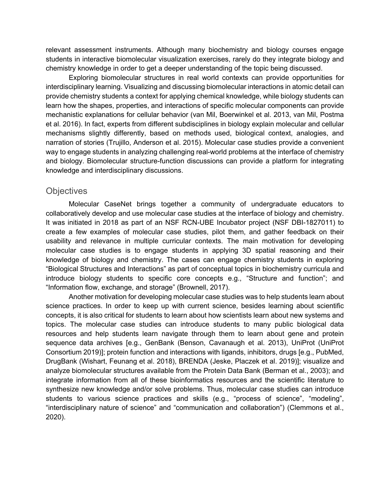relevant assessment instruments. Although many biochemistry and biology courses engage students in interactive biomolecular visualization exercises, rarely do they integrate biology and chemistry knowledge in order to get a deeper understanding of the topic being discussed.

Exploring biomolecular structures in real world contexts can provide opportunities for interdisciplinary learning. Visualizing and discussing biomolecular interactions in atomic detail can provide chemistry students a context for applying chemical knowledge, while biology students can learn how the shapes, properties, and interactions of specific molecular components can provide mechanistic explanations for cellular behavior (van Mil, Boerwinkel et al. 2013, van Mil, Postma et al. 2016). In fact, experts from different subdisciplines in biology explain molecular and cellular mechanisms slightly differently, based on methods used, biological context, analogies, and narration of stories (Trujillo, Anderson et al. 2015). Molecular case studies provide a convenient way to engage students in analyzing challenging real-world problems at the interface of chemistry and biology. Biomolecular structure-function discussions can provide a platform for integrating knowledge and interdisciplinary discussions.

#### **Objectives**

Molecular CaseNet brings together a community of undergraduate educators to collaboratively develop and use molecular case studies at the interface of biology and chemistry. It was initiated in 2018 as part of an NSF RCN-UBE Incubator project (NSF DBI-1827011) to create a few examples of molecular case studies, pilot them, and gather feedback on their usability and relevance in multiple curricular contexts. The main motivation for developing molecular case studies is to engage students in applying 3D spatial reasoning and their knowledge of biology and chemistry. The cases can engage chemistry students in exploring "Biological Structures and Interactions" as part of conceptual topics in biochemistry curricula and introduce biology students to specific core concepts e.g., "Structure and function"; and "Information flow, exchange, and storage" (Brownell, 2017).

Another motivation for developing molecular case studies was to help students learn about science practices. In order to keep up with current science, besides learning about scientific concepts, it is also critical for students to learn about how scientists learn about new systems and topics. The molecular case studies can introduce students to many public biological data resources and help students learn navigate through them to learn about gene and protein sequence data archives [e.g., GenBank (Benson, Cavanaugh et al. 2013), UniProt (UniProt Consortium 2019)]; protein function and interactions with ligands, inhibitors, drugs [e.g., PubMed, DrugBank (Wishart, Feunang et al. 2018), BRENDA (Jeske, Placzek et al. 2019)]; visualize and analyze biomolecular structures available from the Protein Data Bank (Berman et al., 2003); and integrate information from all of these bioinformatics resources and the scientific literature to synthesize new knowledge and/or solve problems. Thus, molecular case studies can introduce students to various science practices and skills (e.g., "process of science", "modeling", "interdisciplinary nature of science" and "communication and collaboration") (Clemmons et al., 2020).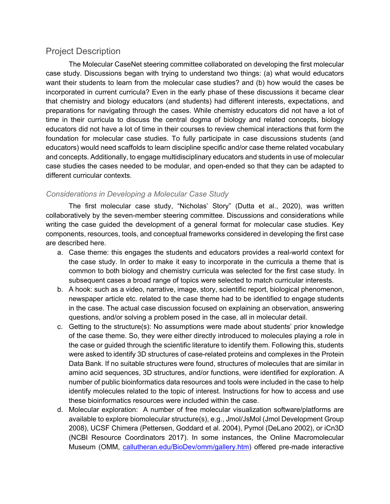## Project Description

The Molecular CaseNet steering committee collaborated on developing the first molecular case study. Discussions began with trying to understand two things: (a) what would educators want their students to learn from the molecular case studies? and (b) how would the cases be incorporated in current curricula? Even in the early phase of these discussions it became clear that chemistry and biology educators (and students) had different interests, expectations, and preparations for navigating through the cases. While chemistry educators did not have a lot of time in their curricula to discuss the central dogma of biology and related concepts, biology educators did not have a lot of time in their courses to review chemical interactions that form the foundation for molecular case studies. To fully participate in case discussions students (and educators) would need scaffolds to learn discipline specific and/or case theme related vocabulary and concepts. Additionally, to engage multidisciplinary educators and students in use of molecular case studies the cases needed to be modular, and open-ended so that they can be adapted to different curricular contexts.

## *Considerations in Developing a Molecular Case Study*

The first molecular case study, "Nicholas' Story" (Dutta et al., 2020), was written collaboratively by the seven-member steering committee. Discussions and considerations while writing the case guided the development of a general format for molecular case studies. Key components, resources, tools, and conceptual frameworks considered in developing the first case are described here.

- a. Case theme: this engages the students and educators provides a real-world context for the case study. In order to make it easy to incorporate in the curricula a theme that is common to both biology and chemistry curricula was selected for the first case study. In subsequent cases a broad range of topics were selected to match curricular interests.
- b. A hook: such as a video, narrative, image, story, scientific report, biological phenomenon, newspaper article etc. related to the case theme had to be identified to engage students in the case. The actual case discussion focused on explaining an observation, answering questions, and/or solving a problem posed in the case, all in molecular detail.
- c. Getting to the structure(s): No assumptions were made about students' prior knowledge of the case theme. So, they were either directly introduced to molecules playing a role in the case or guided through the scientific literature to identify them. Following this, students were asked to identify 3D structures of case-related proteins and complexes in the Protein Data Bank. If no suitable structures were found, structures of molecules that are similar in amino acid sequences, 3D structures, and/or functions, were identified for exploration. A number of public bioinformatics data resources and tools were included in the case to help identify molecules related to the topic of interest. Instructions for how to access and use these bioinformatics resources were included within the case.
- d. Molecular exploration: A number of free molecular visualization software/platforms are available to explore biomolecular structure(s), e.g., Jmol/JsMol (Jmol Development Group 2008), UCSF Chimera (Pettersen, Goddard et al. 2004), Pymol (DeLano 2002), or iCn3D (NCBI Resource Coordinators 2017). In some instances, the Online Macromolecular Museum (OMM, callutheran.edu/BioDev/omm/gallery.htm) offered pre-made interactive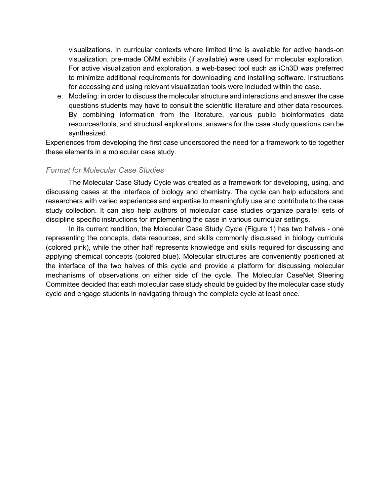visualizations. In curricular contexts where limited time is available for active hands-on visualization, pre-made OMM exhibits (if available) were used for molecular exploration. For active visualization and exploration, a web-based tool such as iCn3D was preferred to minimize additional requirements for downloading and installing software. Instructions for accessing and using relevant visualization tools were included within the case.

e. Modeling: in order to discuss the molecular structure and interactions and answer the case questions students may have to consult the scientific literature and other data resources. By combining information from the literature, various public bioinformatics data resources/tools, and structural explorations, answers for the case study questions can be synthesized.

Experiences from developing the first case underscored the need for a framework to tie together these elements in a molecular case study.

#### *Format for Molecular Case Studies*

The Molecular Case Study Cycle was created as a framework for developing, using, and discussing cases at the interface of biology and chemistry. The cycle can help educators and researchers with varied experiences and expertise to meaningfully use and contribute to the case study collection. It can also help authors of molecular case studies organize parallel sets of discipline specific instructions for implementing the case in various curricular settings.

In its current rendition, the Molecular Case Study Cycle (Figure 1) has two halves - one representing the concepts, data resources, and skills commonly discussed in biology curricula (colored pink), while the other half represents knowledge and skills required for discussing and applying chemical concepts (colored blue). Molecular structures are conveniently positioned at the interface of the two halves of this cycle and provide a platform for discussing molecular mechanisms of observations on either side of the cycle. The Molecular CaseNet Steering Committee decided that each molecular case study should be guided by the molecular case study cycle and engage students in navigating through the complete cycle at least once.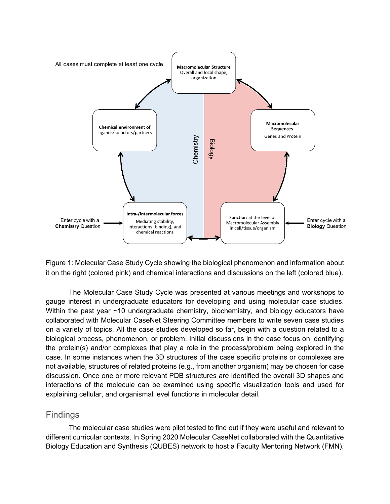

Figure 1: Molecular Case Study Cycle showing the biological phenomenon and information about it on the right (colored pink) and chemical interactions and discussions on the left (colored blue).

The Molecular Case Study Cycle was presented at various meetings and workshops to gauge interest in undergraduate educators for developing and using molecular case studies. Within the past year ~10 undergraduate chemistry, biochemistry, and biology educators have collaborated with Molecular CaseNet Steering Committee members to write seven case studies on a variety of topics. All the case studies developed so far, begin with a question related to a biological process, phenomenon, or problem. Initial discussions in the case focus on identifying the protein(s) and/or complexes that play a role in the process/problem being explored in the case. In some instances when the 3D structures of the case specific proteins or complexes are not available, structures of related proteins (e.g., from another organism) may be chosen for case discussion. Once one or more relevant PDB structures are identified the overall 3D shapes and interactions of the molecule can be examined using specific visualization tools and used for explaining cellular, and organismal level functions in molecular detail.

## Findings

The molecular case studies were pilot tested to find out if they were useful and relevant to different curricular contexts. In Spring 2020 Molecular CaseNet collaborated with the Quantitative Biology Education and Synthesis (QUBES) network to host a Faculty Mentoring Network (FMN).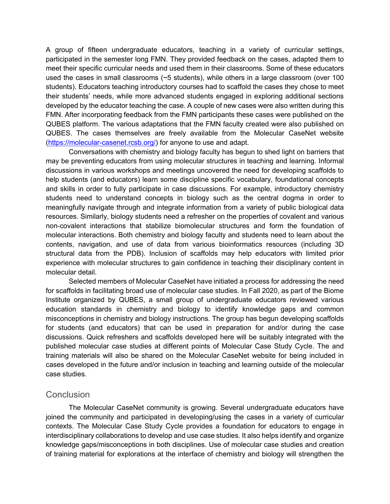A group of fifteen undergraduate educators, teaching in a variety of curricular settings, participated in the semester long FMN. They provided feedback on the cases, adapted them to meet their specific curricular needs and used them in their classrooms. Some of these educators used the cases in small classrooms (~5 students), while others in a large classroom (over 100 students). Educators teaching introductory courses had to scaffold the cases they chose to meet their students' needs, while more advanced students engaged in exploring additional sections developed by the educator teaching the case. A couple of new cases were also written during this FMN. After incorporating feedback from the FMN participants these cases were published on the QUBES platform. The various adaptations that the FMN faculty created were also published on QUBES. The cases themselves are freely available from the Molecular CaseNet website (https://molecular-casenet.rcsb.org/) for anyone to use and adapt.

Conversations with chemistry and biology faculty has begun to shed light on barriers that may be preventing educators from using molecular structures in teaching and learning. Informal discussions in various workshops and meetings uncovered the need for developing scaffolds to help students (and educators) learn some discipline specific vocabulary, foundational concepts and skills in order to fully participate in case discussions. For example, introductory chemistry students need to understand concepts in biology such as the central dogma in order to meaningfully navigate through and integrate information from a variety of public biological data resources. Similarly, biology students need a refresher on the properties of covalent and various non-covalent interactions that stabilize biomolecular structures and form the foundation of molecular interactions. Both chemistry and biology faculty and students need to learn about the contents, navigation, and use of data from various bioinformatics resources (including 3D structural data from the PDB). Inclusion of scaffolds may help educators with limited prior experience with molecular structures to gain confidence in teaching their disciplinary content in molecular detail.

Selected members of Molecular CaseNet have initiated a process for addressing the need for scaffolds in facilitating broad use of molecular case studies. In Fall 2020, as part of the Biome Institute organized by QUBES, a small group of undergraduate educators reviewed various education standards in chemistry and biology to identify knowledge gaps and common misconceptions in chemistry and biology instructions. The group has begun developing scaffolds for students (and educators) that can be used in preparation for and/or during the case discussions. Quick refreshers and scaffolds developed here will be suitably integrated with the published molecular case studies at different points of Molecular Case Study Cycle. The and training materials will also be shared on the Molecular CaseNet website for being included in cases developed in the future and/or inclusion in teaching and learning outside of the molecular case studies.

## **Conclusion**

The Molecular CaseNet community is growing. Several undergraduate educators have joined the community and participated in developing/using the cases in a variety of curricular contexts. The Molecular Case Study Cycle provides a foundation for educators to engage in interdisciplinary collaborations to develop and use case studies. It also helps identify and organize knowledge gaps/misconceptions in both disciplines. Use of molecular case studies and creation of training material for explorations at the interface of chemistry and biology will strengthen the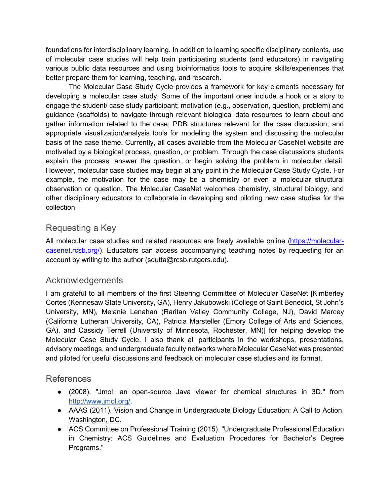foundations for interdisciplinary learning. In addition to learning specific disciplinary contents, use of molecular case studies will help train participating students (and educators) in navigating various public data resources and using bioinformatics tools to acquire skills/experiences that better prepare them for learning, teaching, and research.

The Molecular Case Study Cycle provides a framework for key elements necessary for developing a molecular case study. Some of the important ones include a hook or a story to engage the student/ case study participant; motivation (e.g., observation, question, problem) and guidance (scaffolds) to navigate through relevant biological data resources to learn about and gather information related to the case; PDB structures relevant for the case discussion; and appropriate visualization/analysis tools for modeling the system and discussing the molecular basis of the case theme. Currently, all cases available from the Molecular CaseNet website are motivated by a biological process, question, or problem. Through the case discussions students explain the process, answer the question, or begin solving the problem in molecular detail. However, molecular case studies may begin at any point in the Molecular Case Study Cycle. For example, the motivation for the case may be a chemistry or even a molecular structural observation or question. The Molecular CaseNet welcomes chemistry, structural biology, and other disciplinary educators to collaborate in developing and piloting new case studies for the collection.

# Requesting a Key

All molecular case studies and related resources are freely available online (https://molecularcasenet.rcsb.org/). Educators can access accompanying teaching notes by requesting for an account by writing to the author (sdutta@rcsb.rutgers.edu).

# Acknowledgements

I am grateful to all members of the first Steering Committee of Molecular CaseNet [Kimberley Cortes (Kennesaw State University, GA), Henry Jakubowski (College of Saint Benedict, St John's University, MN), Melanie Lenahan (Raritan Valley Community College, NJ), David Marcey (California Lutheran University, CA), Patricia Marsteller (Emory College of Arts and Sciences, GA), and Cassidy Terrell (University of Minnesota, Rochester, MN)] for helping develop the Molecular Case Study Cycle. I also thank all participants in the workshops, presentations, advisory meetings, and undergraduate faculty networks where Molecular CaseNet was presented and piloted for useful discussions and feedback on molecular case studies and its format.

## References

- (2008). "Jmol: an open-source Java viewer for chemical structures in 3D." from http://www.jmol.org/.
- AAAS (2011). Vision and Change in Undergraduate Biology Education: A Call to Action. Washington, DC.
- ACS Committee on Professional Training (2015). "Undergraduate Professional Education in Chemistry: ACS Guidelines and Evaluation Procedures for Bachelor's Degree Programs."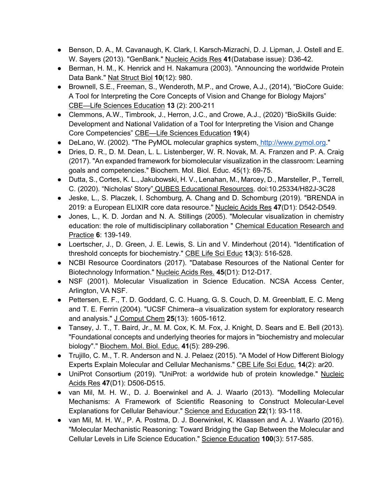- Benson, D. A., M. Cavanaugh, K. Clark, I. Karsch-Mizrachi, D. J. Lipman, J. Ostell and E. W. Sayers (2013). "GenBank." Nucleic Acids Res **41**(Database issue): D36-42.
- Berman, H. M., K. Henrick and H. Nakamura (2003). "Announcing the worldwide Protein Data Bank." Nat Struct Biol **10**(12): 980.
- Brownell, S.E., Freeman, S., Wenderoth, M.P., and Crowe, A.J., (2014), "BioCore Guide: A Tool for Interpreting the Core Concepts of Vision and Change for Biology Majors" CBE—Life Sciences Education **13** (2): 200-211
- Clemmons, A.W., Timbrook, J., Herron, J.C., and Crowe, A.J., (2020) "BioSkills Guide: Development and National Validation of a Tool for Interpreting the Vision and Change Core Competencies" CBE—Life Sciences Education **19**(4)
- DeLano, W. (2002). "The PyMOL molecular graphics system, http://www.pymol.org."
- Dries, D. R., D. M. Dean, L. L. Listenberger, W. R. Novak, M. A. Franzen and P. A. Craig (2017). "An expanded framework for biomolecular visualization in the classroom: Learning goals and competencies." Biochem. Mol. Biol. Educ. 45(1): 69-75.
- Dutta, S., Cortes, K. L., Jakubowski, H. V., Lenahan, M., Marcey, D., Marsteller, P., Terrell, C. (2020). "Nicholas' Story" QUBES Educational Resources. doi:10.25334/H82J-3C28
- Jeske, L., S. Placzek, I. Schomburg, A. Chang and D. Schomburg (2019). "BRENDA in 2019: a European ELIXIR core data resource." Nucleic Acids Res **47**(D1): D542-D549.
- Jones, L., K. D. Jordan and N. A. Stillings (2005). "Molecular visualization in chemistry education: the role of multidisciplinary collaboration " Chemical Education Research and Practice **6**: 139-149.
- Loertscher, J., D. Green, J. E. Lewis, S. Lin and V. Minderhout (2014). "Identification of threshold concepts for biochemistry." CBE Life Sci Educ **13**(3): 516-528.
- NCBI Resource Coordinators (2017). "Database Resources of the National Center for Biotechnology Information." Nucleic Acids Res. **45**(D1): D12-D17.
- NSF (2001). Molecular Visualization in Science Education. NCSA Access Center, Arlington, VA NSF.
- Pettersen, E. F., T. D. Goddard, C. C. Huang, G. S. Couch, D. M. Greenblatt, E. C. Meng and T. E. Ferrin (2004). "UCSF Chimera--a visualization system for exploratory research and analysis." J Comput Chem **25**(13): 1605-1612.
- Tansey, J. T., T. Baird, Jr., M. M. Cox, K. M. Fox, J. Knight, D. Sears and E. Bell (2013). "Foundational concepts and underlying theories for majors in "biochemistry and molecular biology"." Biochem. Mol. Biol. Educ. **41**(5): 289-296.
- Trujillo, C. M., T. R. Anderson and N. J. Pelaez (2015). "A Model of How Different Biology Experts Explain Molecular and Cellular Mechanisms." CBE Life Sci Educ. **14**(2): ar20.
- UniProt Consortium (2019). "UniProt: a worldwide hub of protein knowledge." Nucleic Acids Res **47**(D1): D506-D515.
- van Mil, M. H. W., D. J. Boerwinkel and A. J. Waarlo (2013). "Modelling Molecular Mechanisms: A Framework of Scientific Reasoning to Construct Molecular-Level Explanations for Cellular Behaviour." Science and Education **22**(1): 93-118.
- van Mil, M. H. W., P. A. Postma, D. J. Boerwinkel, K. Klaassen and A. J. Waarlo (2016). "Molecular Mechanistic Reasoning: Toward Bridging the Gap Between the Molecular and Cellular Levels in Life Science Education." Science Education **100**(3): 517-585.